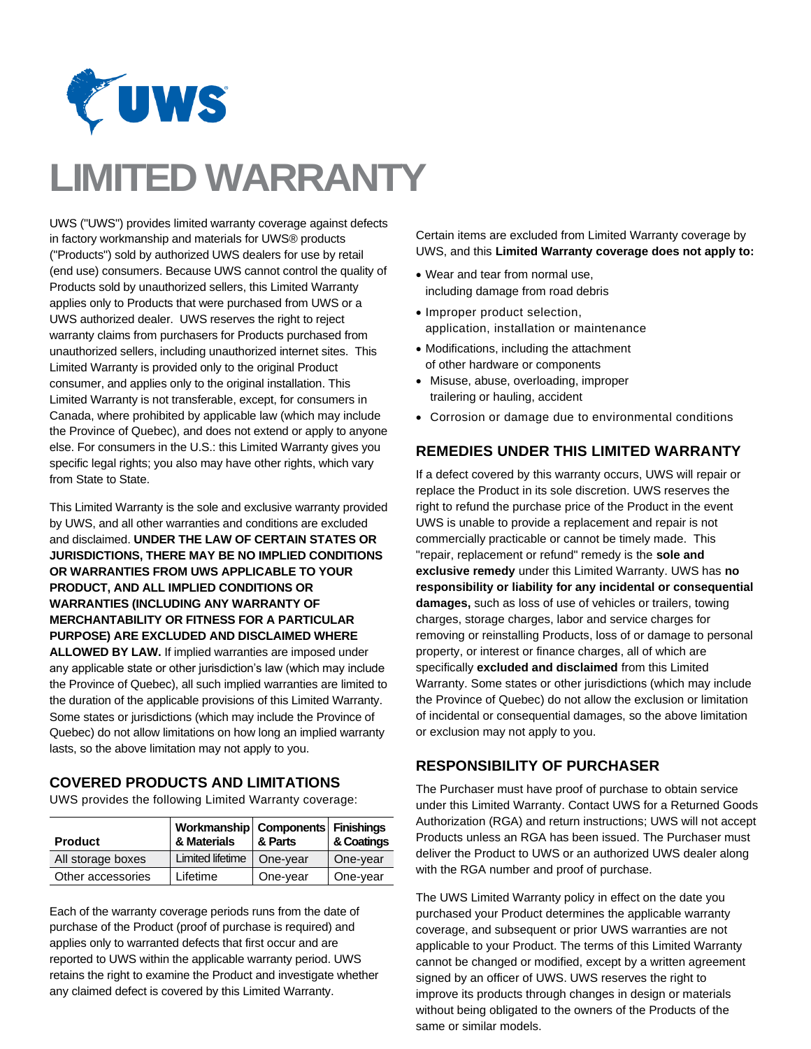

## **LIMITED WARRANTY**

UWS ("UWS") provides limited warranty coverage against defects in factory workmanship and materials for UWS® products ("Products") sold by authorized UWS dealers for use by retail (end use) consumers. Because UWS cannot control the quality of Products sold by unauthorized sellers, this Limited Warranty applies only to Products that were purchased from UWS or a UWS authorized dealer. UWS reserves the right to reject warranty claims from purchasers for Products purchased from unauthorized sellers, including unauthorized internet sites. This Limited Warranty is provided only to the original Product consumer, and applies only to the original installation. This Limited Warranty is not transferable, except, for consumers in Canada, where prohibited by applicable law (which may include the Province of Quebec), and does not extend or apply to anyone else. For consumers in the U.S.: this Limited Warranty gives you specific legal rights; you also may have other rights, which vary from State to State.

This Limited Warranty is the sole and exclusive warranty provided by UWS, and all other warranties and conditions are excluded and disclaimed. **UNDER THE LAW OF CERTAIN STATES OR JURISDICTIONS, THERE MAY BE NO IMPLIED CONDITIONS OR WARRANTIES FROM UWS APPLICABLE TO YOUR PRODUCT, AND ALL IMPLIED CONDITIONS OR WARRANTIES (INCLUDING ANY WARRANTY OF MERCHANTABILITY OR FITNESS FOR A PARTICULAR PURPOSE) ARE EXCLUDED AND DISCLAIMED WHERE ALLOWED BY LAW.** If implied warranties are imposed under any applicable state or other jurisdiction's law (which may include the Province of Quebec), all such implied warranties are limited to the duration of the applicable provisions of this Limited Warranty.

Some states or jurisdictions (which may include the Province of Quebec) do not allow limitations on how long an implied warranty lasts, so the above limitation may not apply to you.

## **COVERED PRODUCTS AND LIMITATIONS**

UWS provides the following Limited Warranty coverage:

| <b>Product</b>    | Workmanship   Components   Finishings<br>& Materials | & Parts  | & Coatings |
|-------------------|------------------------------------------------------|----------|------------|
| All storage boxes | Limited lifetime                                     | One-year | One-year   |
| Other accessories | Lifetime                                             | One-year | One-year   |

Each of the warranty coverage periods runs from the date of purchase of the Product (proof of purchase is required) and applies only to warranted defects that first occur and are reported to UWS within the applicable warranty period. UWS retains the right to examine the Product and investigate whether any claimed defect is covered by this Limited Warranty.

Certain items are excluded from Limited Warranty coverage by UWS, and this **Limited Warranty coverage does not apply to:**

- Wear and tear from normal use, including damage from road debris
- Improper product selection, application, installation or maintenance
- Modifications, including the attachment of other hardware or components
- Misuse, abuse, overloading, improper trailering or hauling, accident
- Corrosion or damage due to environmental conditions

## **REMEDIES UNDER THIS LIMITED WARRANTY**

If a defect covered by this warranty occurs, UWS will repair or replace the Product in its sole discretion. UWS reserves the right to refund the purchase price of the Product in the event UWS is unable to provide a replacement and repair is not commercially practicable or cannot be timely made. This "repair, replacement or refund" remedy is the **sole and exclusive remedy** under this Limited Warranty. UWS has **no responsibility or liability for any incidental or consequential damages,** such as loss of use of vehicles or trailers, towing charges, storage charges, labor and service charges for removing or reinstalling Products, loss of or damage to personal property, or interest or finance charges, all of which are specifically **excluded and disclaimed** from this Limited Warranty. Some states or other jurisdictions (which may include the Province of Quebec) do not allow the exclusion or limitation of incidental or consequential damages, so the above limitation or exclusion may not apply to you.

## **RESPONSIBILITY OF PURCHASER**

The Purchaser must have proof of purchase to obtain service under this Limited Warranty. Contact UWS for a Returned Goods Authorization (RGA) and return instructions; UWS will not accept Products unless an RGA has been issued. The Purchaser must deliver the Product to UWS or an authorized UWS dealer along with the RGA number and proof of purchase.

The UWS Limited Warranty policy in effect on the date you purchased your Product determines the applicable warranty coverage, and subsequent or prior UWS warranties are not applicable to your Product. The terms of this Limited Warranty cannot be changed or modified, except by a written agreement signed by an officer of UWS. UWS reserves the right to improve its products through changes in design or materials without being obligated to the owners of the Products of the same or similar models.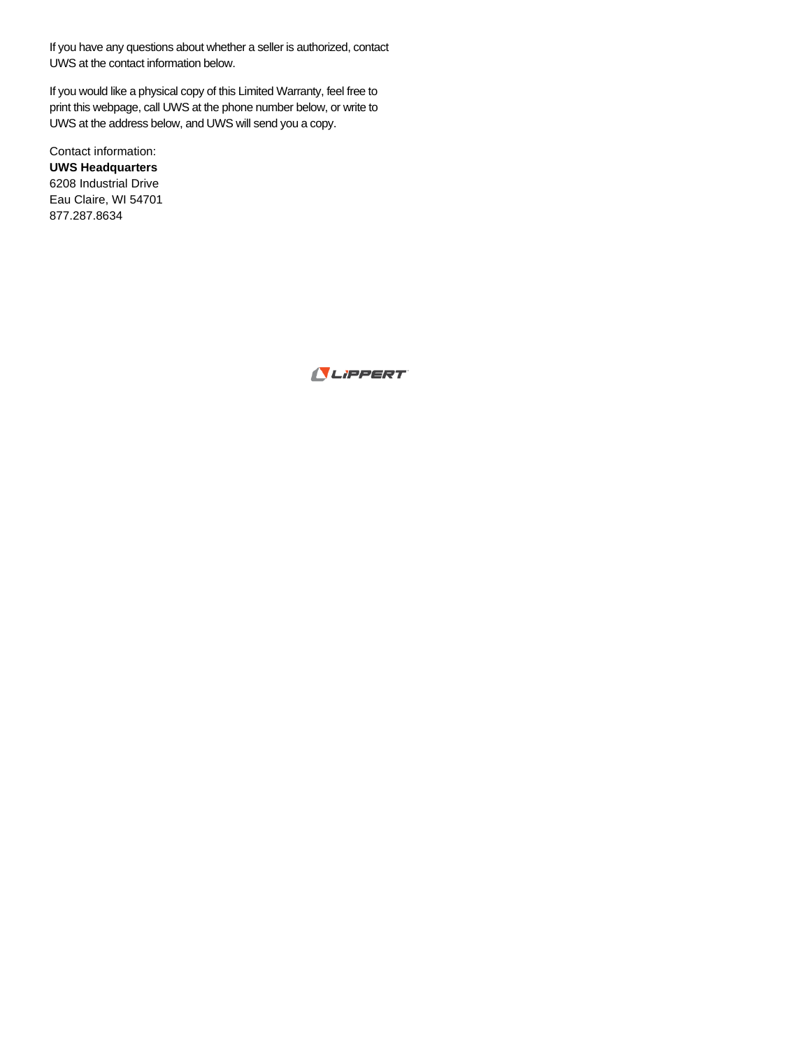If you have any questions about whether a seller is authorized, contact UWS at the contact information below.

If you would like a physical copy of this Limited Warranty, feel free to print this webpage, call UWS at the phone number below, or write to UWS at the address below, and UWS will send you a copy.

Contact information: **UWS Headquarters**  6208 Industrial Drive Eau Claire, WI 54701 877.287.8634

LIPPERT